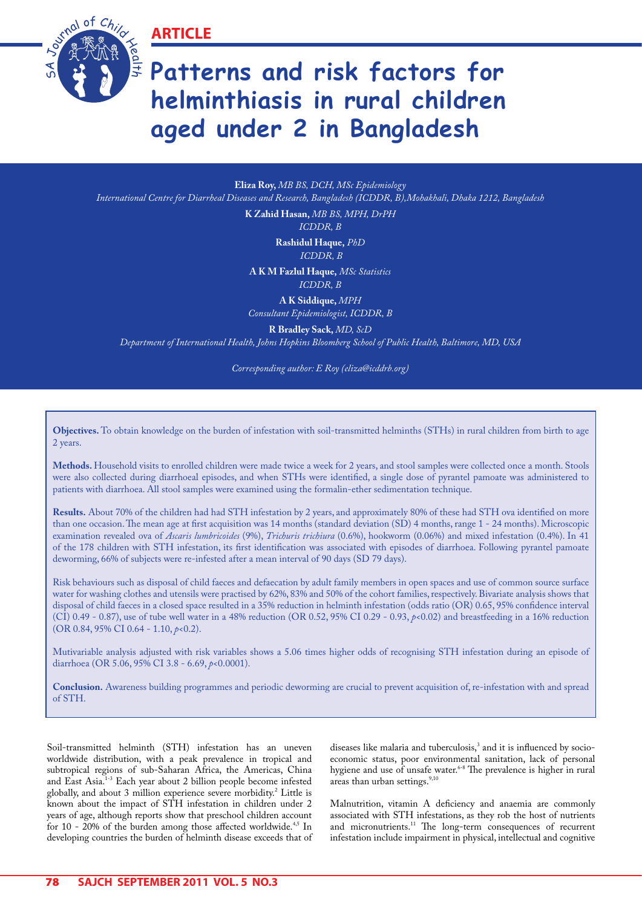**ARTICLE**



# **Patterns and risk factors for helminthiasis in rural children aged under 2 in Bangladesh**

**Eliza Roy,** *MB BS, DCH, MSc Epidemiology International Centre for Diarrheal Diseases and Research, Bangladesh (ICDDR, B),Mohakhali, Dhaka 1212, Bangladesh*

**K Zahid Hasan,** *MB BS, MPH, DrPH*

*ICDDR, B* 

**Rashidul Haque,** *PhD ICDDR, B*

**A K M Fazlul Haque,** *MSc Statistics ICDDR, B*

**A K Siddique,** *MPH Consultant Epidemiologist, ICDDR, B*

**R Bradley Sack,** *MD, ScD*

*Department of International Health, Johns Hopkins Bloomberg School of Public Health, Baltimore, MD, USA*

*Corresponding author: E Roy (eliza@icddrb.org)*

**Objectives.** To obtain knowledge on the burden of infestation with soil-transmitted helminths (STHs) in rural children from birth to age 2 years.

**Methods.** Household visits to enrolled children were made twice a week for 2 years, and stool samples were collected once a month. Stools were also collected during diarrhoeal episodes, and when STHs were identified, a single dose of pyrantel pamoate was administered to patients with diarrhoea. All stool samples were examined using the formalin-ether sedimentation technique.

**Results.** About 70% of the children had had STH infestation by 2 years, and approximately 80% of these had STH ova identified on more than one occasion. The mean age at first acquisition was 14 months (standard deviation (SD) 4 months, range 1 - 24 months). Microscopic examination revealed ova of *Ascaris lumbricoides* (9%), *Trichuris trichiura* (0.6%), hookworm (0.06%) and mixed infestation (0.4%). In 41 of the 178 children with STH infestation, its first identification was associated with episodes of diarrhoea. Following pyrantel pamoate deworming, 66% of subjects were re-infested after a mean interval of 90 days (SD 79 days).

Risk behaviours such as disposal of child faeces and defaecation by adult family members in open spaces and use of common source surface water for washing clothes and utensils were practised by 62%, 83% and 50% of the cohort families, respectively. Bivariate analysis shows that disposal of child faeces in a closed space resulted in a 35% reduction in helminth infestation (odds ratio (OR) 0.65, 95% confidence interval (CI) 0.49 - 0.87), use of tube well water in a 48% reduction (OR 0.52, 95% CI 0.29 - 0.93, *p*<0.02) and breastfeeding in a 16% reduction (OR 0.84, 95% CI 0.64 - 1.10, *p*<0.2).

Mutivariable analysis adjusted with risk variables shows a 5.06 times higher odds of recognising STH infestation during an episode of diarrhoea (OR 5.06, 95% CI 3.8 - 6.69, *p*<0.0001).

**Conclusion.** Awareness building programmes and periodic deworming are crucial to prevent acquisition of, re-infestation with and spread of STH.

Soil-transmitted helminth (STH) infestation has an uneven worldwide distribution, with a peak prevalence in tropical and subtropical regions of sub-Saharan Africa, the Americas, China and East Asia.<sup>1-3</sup> Each year about 2 billion people become infested globally, and about 3 million experience severe morbidity.2 Little is known about the impact of STH infestation in children under 2 years of age, although reports show that preschool children account for 10 - 20% of the burden among those affected worldwide.<sup>4,5</sup> In developing countries the burden of helminth disease exceeds that of

diseases like malaria and tuberculosis,<sup>3</sup> and it is influenced by socioeconomic status, poor environmental sanitation, lack of personal hygiene and use of unsafe water.<sup>6-8</sup> The prevalence is higher in rural areas than urban settings.<sup>9,10</sup>

Malnutrition, vitamin A deficiency and anaemia are commonly associated with STH infestations, as they rob the host of nutrients and micronutrients.<sup>11</sup> The long-term consequences of recurrent infestation include impairment in physical, intellectual and cognitive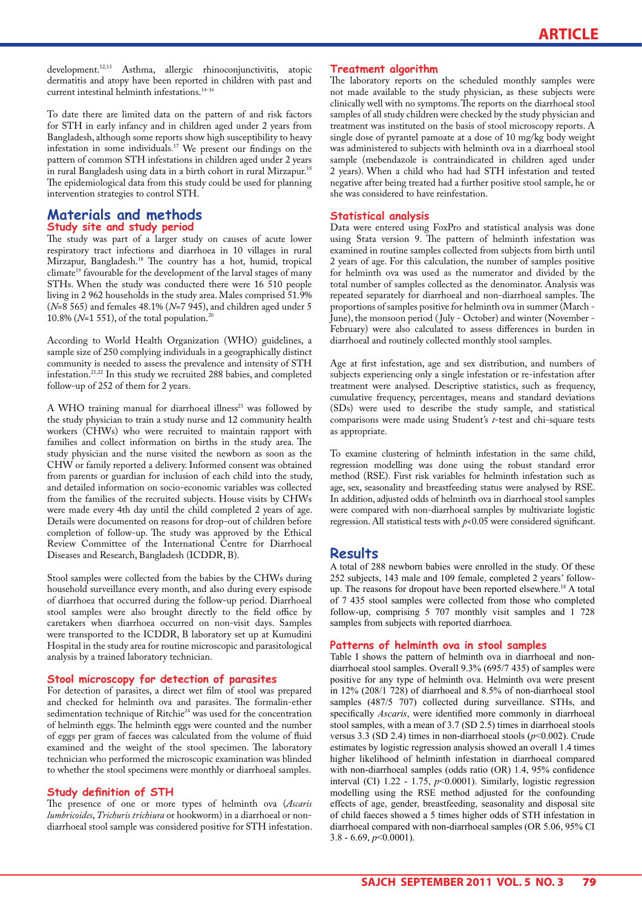development.12,13 Asthma, allergic rhinoconjunctivitis, atopic dermatitis and atopy have been reported in children with past and current intestinal helminth infestations.<sup>14-16</sup>

To date there are limited data on the pattern of and risk factors for STH in early infancy and in children aged under 2 years from Bangladesh, although some reports show high susceptibility to heavy infestation in some individuals.17 We present our findings on the pattern of common STH infestations in children aged under 2 years in rural Bangladesh using data in a birth cohort in rural Mirzapur.<sup>18</sup> The epidemiological data from this study could be used for planning intervention strategies to control STH.

## **Materials and methods Study site and study period**

The study was part of a larger study on causes of acute lower respiratory tract infections and diarrhoea in 10 villages in rural Mirzapur, Bangladesh.<sup>18</sup> The country has a hot, humid, tropical climate<sup>19</sup> favourable for the development of the larval stages of many STHs. When the study was conducted there were 16 510 people living in 2 962 households in the study area. Males comprised 51.9% (*N*=8 565) and females 48.1% (*N*=7 945), and children aged under 5 10.8% (*N*=1 551), of the total population.20

According to World Health Organization (WHO) guidelines, a sample size of 250 complying individuals in a geographically distinct community is needed to assess the prevalence and intensity of STH infestation.21,22 In this study we recruited 288 babies, and completed follow-up of 252 of them for 2 years.

A WHO training manual for diarrhoeal illness<sup>23</sup> was followed by the study physician to train a study nurse and 12 community health workers (CHWs) who were recruited to maintain rapport with families and collect information on births in the study area. The study physician and the nurse visited the newborn as soon as the CHW or family reported a delivery. Informed consent was obtained from parents or guardian for inclusion of each child into the study, and detailed information on socio-economic variables was collected from the families of the recruited subjects. House visits by CHWs were made every 4th day until the child completed 2 years of age. Details were documented on reasons for drop-out of children before completion of follow-up. The study was approved by the Ethical Review Committee of the International Centre for Diarrhoeal Diseases and Research, Bangladesh (ICDDR, B).

Stool samples were collected from the babies by the CHWs during household surveillance every month, and also during every espisode of diarrhoea that occurred during the follow-up period. Diarrhoeal stool samples were also brought directly to the field office by caretakers when diarrhoea occurred on non-visit days. Samples were transported to the ICDDR, B laboratory set up at Kumudini Hospital in the study area for routine microscopic and parasitological analysis by a trained laboratory technician.

#### **Stool microscopy for detection of parasites**

For detection of parasites, a direct wet film of stool was prepared and checked for helminth ova and parasites. The formalin-ether sedimentation technique of Ritchie<sup>24</sup> was used for the concentration of helminth eggs. The helminth eggs were counted and the number of eggs per gram of faeces was calculated from the volume of fluid examined and the weight of the stool specimen. The laboratory technician who performed the microscopic examination was blinded to whether the stool specimens were monthly or diarrhoeal samples.

#### **Study definition of STH**

The presence of one or more types of helminth ova (*Ascaris lumbricoides*, *Trichuris trichiura* or hookworm) in a diarrhoeal or nondiarrhoeal stool sample was considered positive for STH infestation.

#### **Treatment algorithm**

The laboratory reports on the scheduled monthly samples were not made available to the study physician, as these subjects were clinically well with no symptoms. The reports on the diarrhoeal stool samples of all study children were checked by the study physician and treatment was instituted on the basis of stool microscopy reports. A single dose of pyrantel pamoate at a dose of 10 mg/kg body weight was administered to subjects with helminth ova in a diarrhoeal stool sample (mebendazole is contraindicated in children aged under 2 years). When a child who had had STH infestation and tested negative after being treated had a further positive stool sample, he or she was considered to have reinfestation.

#### **Statistical analysis**

Data were entered using FoxPro and statistical analysis was done using Stata version 9. The pattern of helminth infestation was examined in routine samples collected from subjects from birth until 2 years of age. For this calculation, the number of samples positive for helminth ova was used as the numerator and divided by the total number of samples collected as the denominator. Analysis was repeated separately for diarrhoeal and non-diarrhoeal samples. The proportions of samples positive for helminth ova in summer (March - June), the monsoon period ( July - October) and winter (November - February) were also calculated to assess differences in burden in diarrhoeal and routinely collected monthly stool samples.

Age at first infestation, age and sex distribution, and numbers of subjects experiencing only a single infestation or re-infestation after treatment were analysed. Descriptive statistics, such as frequency, cumulative frequency, percentages, means and standard deviations (SDs) were used to describe the study sample, and statistical comparisons were made using Student's *t*-test and chi-square tests as appropriate.

To examine clustering of helminth infestation in the same child, regression modelling was done using the robust standard error method (RSE). First risk variables for helminth infestation such as age, sex, seasonality and breastfeeding status were analysed by RSE. In addition, adjusted odds of helminth ova in diarrhoeal stool samples were compared with non-diarrhoeal samples by multivariate logistic regression. All statistical tests with  $p$ <0.05 were considered significant.

# **Results**

A total of 288 newborn babies were enrolled in the study. Of these 252 subjects, 143 male and 109 female, completed 2 years' followup. The reasons for dropout have been reported elsewhere.<sup>18</sup> A total of 7 435 stool samples were collected from those who completed follow-up, comprising 5 707 monthly visit samples and 1 728 samples from subjects with reported diarrhoea.

#### **Patterns of helminth ova in stool samples**

Table I shows the pattern of helminth ova in diarrhoeal and nondiarrhoeal stool samples. Overall 9.3% (695/7 435) of samples were positive for any type of helminth ova. Helminth ova were present in 12% (208/1 728) of diarrhoeal and 8.5% of non-diarrhoeal stool samples (487/5 707) collected during surveillance. STHs, and specifically *Ascaris*, were identified more commonly in diarrhoeal stool samples, with a mean of 3.7 (SD 2.5) times in diarrhoeal stools versus 3.3 (SD 2.4) times in non-diarrhoeal stools (*p*<0.002). Crude estimates by logistic regression analysis showed an overall 1.4 times higher likelihood of helminth infestation in diarrhoeal compared with non-diarrhoeal samples (odds ratio (OR) 1.4, 95% confidence interval (CI) 1.22 - 1.75, *p*<0.0001). Similarly, logistic regression modelling using the RSE method adjusted for the confounding effects of age, gender, breastfeeding, seasonality and disposal site of child faeces showed a 5 times higher odds of STH infestation in diarrhoeal compared with non-diarrhoeal samples (OR 5.06, 95% CI 3.8 - 6.69,  $p<0.0001$ ).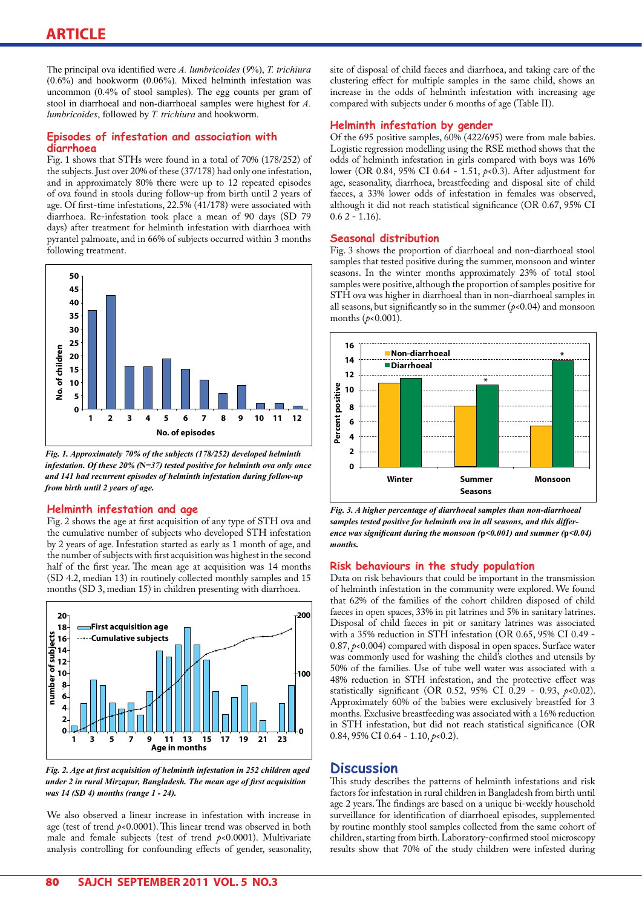The principal ova identified were *A. lumbricoides* (*9*%), *T. trichiura*  (0.6%) and hookworm (0.06%). Mixed helminth infestation was uncommon (0.4% of stool samples). The egg counts per gram of stool in diarrhoeal and non-diarrhoeal samples were highest for *A. lumbricoides*, followed by *T. trichiura* and hookworm.

### **Episodes of infestation and association with diarrhoea**

Fig. 1 shows that STHs were found in a total of 70% (178/252) of the subjects. Just over 20% of these (37/178) had only one infestation, and in approximately 80% there were up to 12 repeated episodes of ova found in stools during follow-up from birth until 2 years of age. Of first-time infestations, 22.5% (41/178) were associated with diarrhoea. Re-infestation took place a mean of 90 days (SD 79 days) after treatment for helminth infestation with diarrhoea with pyrantel palmoate, and in 66% of subjects occurred within 3 months following treatment.



*Fig. 1. Approximately 70% of the subjects (178/252) developed helminth infestation. Of these 20% (***N***=37) tested positive for helminth ova only once and 141 had recurrent episodes of helminth infestation during follow-up from birth until 2 years of age.*

#### **Helminth infestation and age**

Fig. 2 shows the age at first acquisition of any type of STH ova and the cumulative number of subjects who developed STH infestation by 2 years of age. Infestation started as early as 1 month of age, and the number of subjects with first acquisition was highest in the second half of the first year. The mean age at acquisition was 14 months (SD 4.2, median 13) in routinely collected monthly samples and 15 months (SD 3, median 15) in children presenting with diarrhoea.



*Fig. 2. Age at first acquisition of helminth infestation in 252 children aged under 2 in rural Mirzapur, Bangladesh. The mean age of first acquisition was 14 (SD 4) months (range 1 - 24).*

We also observed a linear increase in infestation with increase in age (test of trend *p*<0.0001). This linear trend was observed in both male and female subjects (test of trend *p*<0.0001). Multivariate analysis controlling for confounding effects of gender, seasonality, site of disposal of child faeces and diarrhoea, and taking care of the clustering effect for multiple samples in the same child, shows an increase in the odds of helminth infestation with increasing age compared with subjects under 6 months of age (Table II).

### **Helminth infestation by gender**

Of the 695 positive samples, 60% (422/695) were from male babies. Logistic regression modelling using the RSE method shows that the odds of helminth infestation in girls compared with boys was 16% lower (OR 0.84, 95% CI 0.64 - 1.51, *p*<0.3). After adjustment for age, seasonality, diarrhoea, breastfeeding and disposal site of child faeces, a 33% lower odds of infestation in females was observed, although it did not reach statistical significance (OR 0.67, 95% CI  $0.6$  2 - 1.16).

#### **Seasonal distribution**

Fig. 3 shows the proportion of diarrhoeal and non-diarrhoeal stool samples that tested positive during the summer, monsoon and winter seasons. In the winter months approximately 23% of total stool samples were positive, although the proportion of samples positive for STH ova was higher in diarrhoeal than in non-diarrhoeal samples in all seasons, but significantly so in the summer  $(p<0.04)$  and monsoon months (*p*<0.001).



*Fig. 3. A higher percentage of diarrhoeal samples than non-diarrhoeal samples tested positive for helminth ova in all seasons, and this difference was significant during the monsoon (***p***<0.001) and summer (***p***<0.04) months.* 

#### **Risk behaviours in the study population**

Data on risk behaviours that could be important in the transmission of helminth infestation in the community were explored. We found that 62% of the families of the cohort children disposed of child faeces in open spaces, 33% in pit latrines and 5% in sanitary latrines. Disposal of child faeces in pit or sanitary latrines was associated with a 35% reduction in STH infestation (OR 0.65, 95% CI 0.49 - 0.87, *p*<0.004) compared with disposal in open spaces. Surface water was commonly used for washing the child's clothes and utensils by 50% of the families. Use of tube well water was associated with a 48% reduction in STH infestation, and the protective effect was statistically significant (OR 0.52, 95% CI 0.29 - 0.93, *p*<0.02). Approximately 60% of the babies were exclusively breastfed for 3 months. Exclusive breastfeeding was associated with a 16% reduction in STH infestation, but did not reach statistical significance (OR 0.84, 95% CI 0.64 - 1.10,  $p < 0.2$ ).

# **Discussion**

This study describes the patterns of helminth infestations and risk factors for infestation in rural children in Bangladesh from birth until age 2 years. The findings are based on a unique bi-weekly household surveillance for identification of diarrhoeal episodes, supplemented by routine monthly stool samples collected from the same cohort of children, starting from birth. Laboratory-confirmed stool microscopy results show that 70% of the study children were infested during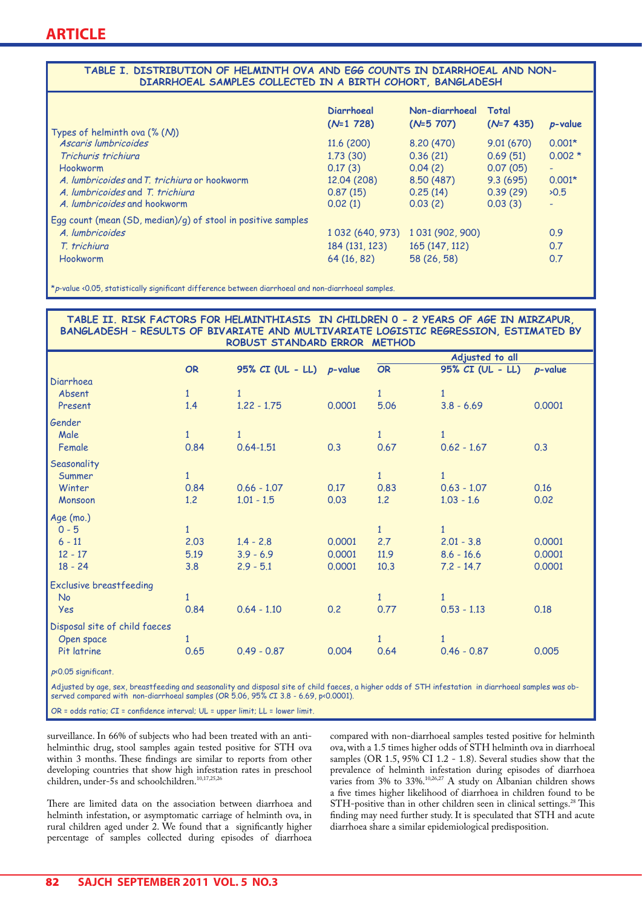#### **TABLE I. DISTRIBUTION OF HELMINTH OVA AND EGG COUNTS IN DIARRHOEAL AND NON-DIARRHOEAL SAMPLES COLLECTED IN A BIRTH COHORT, BANGLADESH**

|                                                              | Diarrhoeal        | Non-diarrhoeal          | Total        |            |
|--------------------------------------------------------------|-------------------|-------------------------|--------------|------------|
| Types of helminth ova $(\%$ (M)                              | $(N=1 728)$       | $(N=5 707)$             | $(N=7, 435)$ | $p$ -value |
| Ascaris lumbricoides                                         | 11.6(200)         | 8,20 (470)              | 9.01(670)    | $0.001*$   |
| Trichuris trichiura                                          | 1,73(30)          | 0.36(21)                | 0.69(51)     | $0.002*$   |
| Hookworm                                                     | 0.17(3)           | 0.04(2)                 | 0.07(05)     | ٠          |
| A. lumbricoides and T. trichiura or hookworm                 | 12.04 (208)       | 8,50 (487)              | 9.3(695)     | $0.001*$   |
| A. lumbricoides and T. trichiura                             | 0.87(15)          | 0.25(14)                | 0.39(29)     | $\ge 0.5$  |
| A lumbricoides and hookworm                                  | 0.02(1)           | 0.03(2)                 | 0.03(3)      | ÷          |
| Egg count (mean (SD, median)/g) of stool in positive samples |                   |                         |              |            |
| A. lumbricoides                                              | 1 0 32 (640, 973) | 1 0 31 (9 0 2 , 9 0 0 ) |              | 0.9        |
| T. trichiura                                                 | 184 (131, 123)    | 165 (147, 112)          |              | 0.7        |
| Hookworm                                                     | 64 (16, 82)       | 58 (26, 58)             |              | 0.7        |

 $\kappa_{I}$ -value <0.05, statistically significant difference between diarrhoeal and non-diarrhoeal samples.

| TABLE II. RISK FACTORS FOR HELMINTHIASIS IN CHILDREN 0 - 2 YEARS OF AGE IN MIRZAPUR,<br>BANGLADESH - RESULTS OF BIVARIATE AND MULTIVARIATE LOGISTIC REGRESSION, ESTIMATED BY<br>ROBUST STANDARD ERROR METHOD |                 |                            |        |              |                  |            |  |  |  |
|--------------------------------------------------------------------------------------------------------------------------------------------------------------------------------------------------------------|-----------------|----------------------------|--------|--------------|------------------|------------|--|--|--|
|                                                                                                                                                                                                              | Adjusted to all |                            |        |              |                  |            |  |  |  |
|                                                                                                                                                                                                              | <b>OR</b>       | 95% $CI (UL - LL)$ p-value |        | OR           | 95% CI (UL - LL) | $p$ -value |  |  |  |
| Diarrhoea                                                                                                                                                                                                    |                 |                            |        |              |                  |            |  |  |  |
| Absent                                                                                                                                                                                                       | $\mathbf{1}$    | $\mathbf{1}$               |        | $\mathbf{1}$ | $\mathbf{1}$     |            |  |  |  |
| Present                                                                                                                                                                                                      | 1.4             | $1.22 - 1.75$              | 0.0001 | 5.06         | $3.8 - 6.69$     | 0.0001     |  |  |  |
| Gender                                                                                                                                                                                                       |                 |                            |        |              |                  |            |  |  |  |
| Male                                                                                                                                                                                                         | $\mathbf{1}$    | $\mathbf{1}$               |        | $\mathbf{1}$ | $\mathbf{1}$     |            |  |  |  |
| Female                                                                                                                                                                                                       | 0.84            | $0.64 - 1.51$              | 0.3    | 0.67         | $0.62 - 1.67$    | 0.3        |  |  |  |
| Seasonality                                                                                                                                                                                                  |                 |                            |        |              |                  |            |  |  |  |
| Summer                                                                                                                                                                                                       | $\mathbf{1}$    |                            |        | $\mathbf{1}$ | $\mathbf{1}$     |            |  |  |  |
| Winter                                                                                                                                                                                                       | 0.84            | $0.66 - 1.07$              | 0.17   | 0.83         | $0.63 - 1.07$    | 0.16       |  |  |  |
| Monsoon                                                                                                                                                                                                      | 1.2             | $1.01 - 1.5$               | 0.03   | 1.2          | $1.03 - 1.6$     | 0.02       |  |  |  |
| Age (mo.)                                                                                                                                                                                                    |                 |                            |        |              |                  |            |  |  |  |
| $0 - 5$                                                                                                                                                                                                      | $\mathbf{1}$    |                            |        | $\mathbf{1}$ | $\mathbf{1}$     |            |  |  |  |
| $6 - 11$                                                                                                                                                                                                     | 2.03            | $1.4 - 2.8$                | 0.0001 | 2.7          | $2.01 - 3.8$     | 0.0001     |  |  |  |
| $12 - 17$                                                                                                                                                                                                    | 5.19            | $3.9 - 6.9$                | 0.0001 | 11.9         | $8.6 - 16.6$     | 0.0001     |  |  |  |
| $18 - 24$                                                                                                                                                                                                    | 3.8             | $2.9 - 5.1$                | 0.0001 | 10.3         | $7.2 - 14.7$     | 0.0001     |  |  |  |
| <b>Exclusive breastfeeding</b>                                                                                                                                                                               |                 |                            |        |              |                  |            |  |  |  |
| <b>No</b>                                                                                                                                                                                                    | $\mathbf{1}$    |                            |        | $\mathbf{1}$ | $\mathbf{1}$     |            |  |  |  |
| <b>Yes</b>                                                                                                                                                                                                   | 0.84            | $0.64 - 1.10$              | 0.2    | 0.77         | $0.53 - 1.13$    | 0.18       |  |  |  |
| Disposal site of child faeces                                                                                                                                                                                |                 |                            |        |              |                  |            |  |  |  |
| Open space                                                                                                                                                                                                   | $\mathbf{1}$    |                            |        | $\mathbf{1}$ | $\mathbf{1}$     |            |  |  |  |
| Pit latrine                                                                                                                                                                                                  | 0.65            | $0.49 - 0.87$              | 0.004  | 0.64         | $0.46 - 0.87$    | 0.005      |  |  |  |
| $p$ <0.05 significant.                                                                                                                                                                                       |                 |                            |        |              |                  |            |  |  |  |

Adjusted by age, sex, breastfeeding and seasonality and disposal site of child faeces, a higher odds of STH infestation in diarrhoeal samples was observed compared with non-diarrhoeal samples (OR 5.06, 95% CI 3.8 - 6.69, p<0.0001).

OR = odds ratio; CI = confidence interval; UL = upper limit; LL = lower limit.

surveillance. In 66% of subjects who had been treated with an antihelminthic drug, stool samples again tested positive for STH ova within 3 months. These findings are similar to reports from other developing countries that show high infestation rates in preschool children, under-5s and schoolchildren.<sup>10,17,25,26</sup>

There are limited data on the association between diarrhoea and helminth infestation, or asymptomatic carriage of helminth ova, in rural children aged under 2. We found that a significantly higher percentage of samples collected during episodes of diarrhoea

compared with non-diarrhoeal samples tested positive for helminth ova, with a 1.5 times higher odds of STH helminth ova in diarrhoeal samples (OR 1.5, 95% CI 1.2 - 1.8). Several studies show that the prevalence of helminth infestation during episodes of diarrhoea varies from 3% to 33%.<sup>10,26,27</sup> A study on Albanian children shows a five times higher likelihood of diarrhoea in children found to be STH-positive than in other children seen in clinical settings.<sup>28</sup> This finding may need further study. It is speculated that STH and acute diarrhoea share a similar epidemiological predisposition.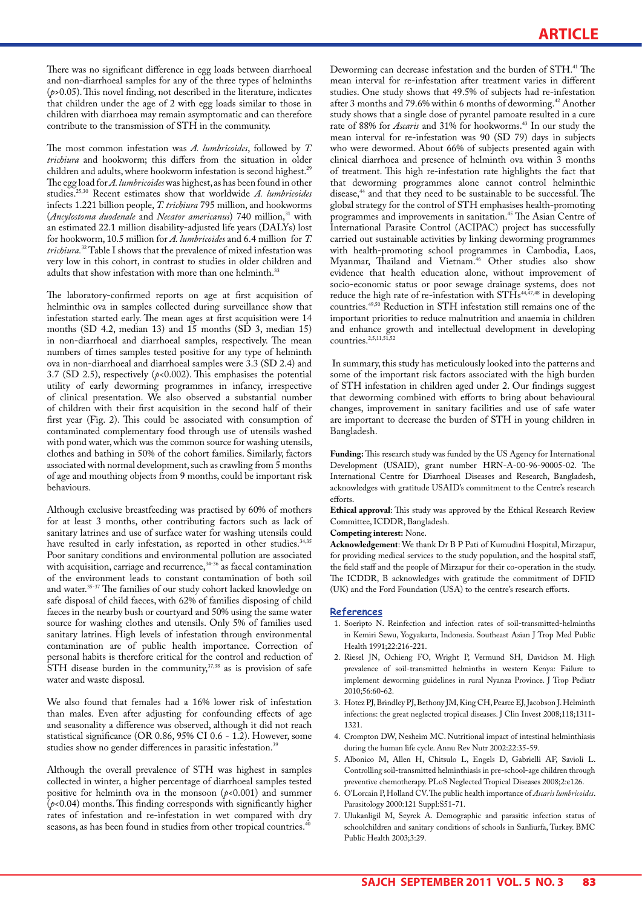There was no significant difference in egg loads between diarrhoeal and non-diarrhoeal samples for any of the three types of helminths (*p*>0.05). This novel finding, not described in the literature, indicates that children under the age of 2 with egg loads similar to those in children with diarrhoea may remain asymptomatic and can therefore contribute to the transmission of STH in the community.

The most common infestation was *A. lumbricoides*, followed by *T. trichiura* and hookworm; this differs from the situation in older children and adults, where hookworm infestation is second highest.<sup>29</sup> The egg load for *A. lumbricoides* was highest, as has been found in other studies.25,30 Recent estimates show that worldwide *A. lumbricoides* infects 1.221 billion people, *T. trichiura* 795 million, and hookworms (*Ancylostoma duodenale* and *Necator americanus*) 740 million,31 with an estimated 22.1 million disability-adjusted life years (DALYs) lost for hookworm, 10.5 million for *A. lumbricoides* and 6.4 million for *T. trichiura.*32 Table I shows that the prevalence of mixed infestation was very low in this cohort, in contrast to studies in older children and adults that show infestation with more than one helminth.<sup>33</sup>

The laboratory-confirmed reports on age at first acquisition of helminthic ova in samples collected during surveillance show that infestation started early. The mean ages at first acquisition were 14 months (SD 4.2, median 13) and  $15$  months (SD 3, median 15) in non-diarrhoeal and diarrhoeal samples, respectively. The mean numbers of times samples tested positive for any type of helminth ova in non-diarrhoeal and diarrhoeal samples were 3.3 (SD 2.4) and 3.7 (SD 2.5), respectively (*p*<0.002). This emphasises the potential utility of early deworming programmes in infancy, irrespective of clinical presentation. We also observed a substantial number of children with their first acquisition in the second half of their first year (Fig. 2). This could be associated with consumption of contaminated complementary food through use of utensils washed with pond water, which was the common source for washing utensils, clothes and bathing in 50% of the cohort families. Similarly, factors associated with normal development, such as crawling from 5 months of age and mouthing objects from 9 months, could be important risk behaviours.

Although exclusive breastfeeding was practised by 60% of mothers for at least 3 months, other contributing factors such as lack of sanitary latrines and use of surface water for washing utensils could have resulted in early infestation, as reported in other studies.<sup>34,35</sup> Poor sanitary conditions and environmental pollution are associated with acquisition, carriage and recurrence,<sup>34-36</sup> as faecal contamination of the environment leads to constant contamination of both soil and water.<sup>35-37</sup> The families of our study cohort lacked knowledge on safe disposal of child faeces, with 62% of families disposing of child faeces in the nearby bush or courtyard and 50% using the same water source for washing clothes and utensils. Only 5% of families used sanitary latrines. High levels of infestation through environmental contamination are of public health importance. Correction of personal habits is therefore critical for the control and reduction of  $\overline{S}$ TH disease burden in the community,  $37,38$  as is provision of safe water and waste disposal.

We also found that females had a 16% lower risk of infestation than males. Even after adjusting for confounding effects of age and seasonality a difference was observed, although it did not reach statistical significance (OR 0.86, 95% CI 0.6 - 1.2). However, some studies show no gender differences in parasitic infestation.<sup>39</sup>

Although the overall prevalence of STH was highest in samples collected in winter, a higher percentage of diarrhoeal samples tested positive for helminth ova in the monsoon (*p*<0.001) and summer  $(p<0.04)$  months. This finding corresponds with significantly higher rates of infestation and re-infestation in wet compared with dry seasons, as has been found in studies from other tropical countries.<sup>40</sup>

Deworming can decrease infestation and the burden of STH.<sup>41</sup> The mean interval for re-infestation after treatment varies in different studies. One study shows that 49.5% of subjects had re-infestation after 3 months and 79.6% within 6 months of deworming.<sup>42</sup> Another study shows that a single dose of pyrantel pamoate resulted in a cure rate of 88% for *Ascaris* and 31% for hookworms.<sup>43</sup> In our study the mean interval for re-infestation was 90 (SD 79) days in subjects who were dewormed. About 66% of subjects presented again with clinical diarrhoea and presence of helminth ova within 3 months of treatment. This high re-infestation rate highlights the fact that that deworming programmes alone cannot control helminthic disease,<sup>44</sup> and that they need to be sustainable to be successful. The global strategy for the control of STH emphasises health-promoting programmes and improvements in sanitation.<sup>45</sup> The Asian Centre of International Parasite Control (ACIPAC) project has successfully carried out sustainable activities by linking deworming programmes with health-promoting school programmes in Cambodia, Laos, Myanmar, Thailand and Vietnam.<sup>46</sup> Other studies also show evidence that health education alone, without improvement of socio-economic status or poor sewage drainage systems, does not reduce the high rate of re-infestation with STHs<sup>44,47,48</sup> in developing countries.49,50 Reduction in STH infestation still remains one of the important priorities to reduce malnutrition and anaemia in children and enhance growth and intellectual development in developing countries.<sup>2,5,11,51,52</sup>

 In summary, this study has meticulously looked into the patterns and some of the important risk factors associated with the high burden of STH infestation in children aged under 2. Our findings suggest that deworming combined with efforts to bring about behavioural changes, improvement in sanitary facilities and use of safe water are important to decrease the burden of STH in young children in Bangladesh.

**Funding:** This research study was funded by the US Agency for International Development (USAID), grant number HRN-A-00-96-90005-02. The International Centre for Diarrhoeal Diseases and Research, Bangladesh, acknowledges with gratitude USAID's commitment to the Centre's research efforts.

**Ethical approval**: This study was approved by the Ethical Research Review Committee, ICDDR, Bangladesh.

#### **Competing interest:** None.

**Acknowledgement**: We thank Dr B P Pati of Kumudini Hospital, Mirzapur, for providing medical services to the study population, and the hospital staff, the field staff and the people of Mirzapur for their co-operation in the study. The ICDDR, B acknowledges with gratitude the commitment of DFID (UK) and the Ford Foundation (USA) to the centre's research efforts.

#### **References**

- 1. Soeripto N. Reinfection and infection rates of soil-transmitted-helminths in Kemiri Sewu, Yogyakarta, Indonesia. Southeast Asian J Trop Med Public Health 1991;22:216-221.
- 2. Riesel JN, Ochieng FO, Wright P, Vermund SH, Davidson M. High prevalence of soil-transmitted helminths in western Kenya: Failure to implement deworming guidelines in rural Nyanza Province. J Trop Pediatr 2010;56:60-62.
- 3. Hotez PJ, Brindley PJ, Bethony JM, King CH, Pearce EJ, Jacobson J. Helminth infections: the great neglected tropical diseases. J Clin Invest 2008;118;1311- 1321.
- 4. Crompton DW, Nesheim MC. Nutritional impact of intestinal helminthiasis during the human life cycle. Annu Rev Nutr 2002:22:35-59.
- 5. Albonico M, Allen H, Chitsulo L, Engels D, Gabrielli AF, Savioli L. Controlling soil-transmitted helminthiasis in pre-school-age children through preventive chemotherapy. PLoS Neglected Tropical Diseases 2008;2:e126.
- 6. O'Lorcain P, Holland CV. The public health importance of *Ascaris lumbricoides*. Parasitology 2000:121 Suppl:S51-71.
- 7. Ulukanligil M, Seyrek A. Demographic and parasitic infection status of schoolchildren and sanitary conditions of schools in Sanliurfa, Turkey. BMC Public Health 2003;3:29.